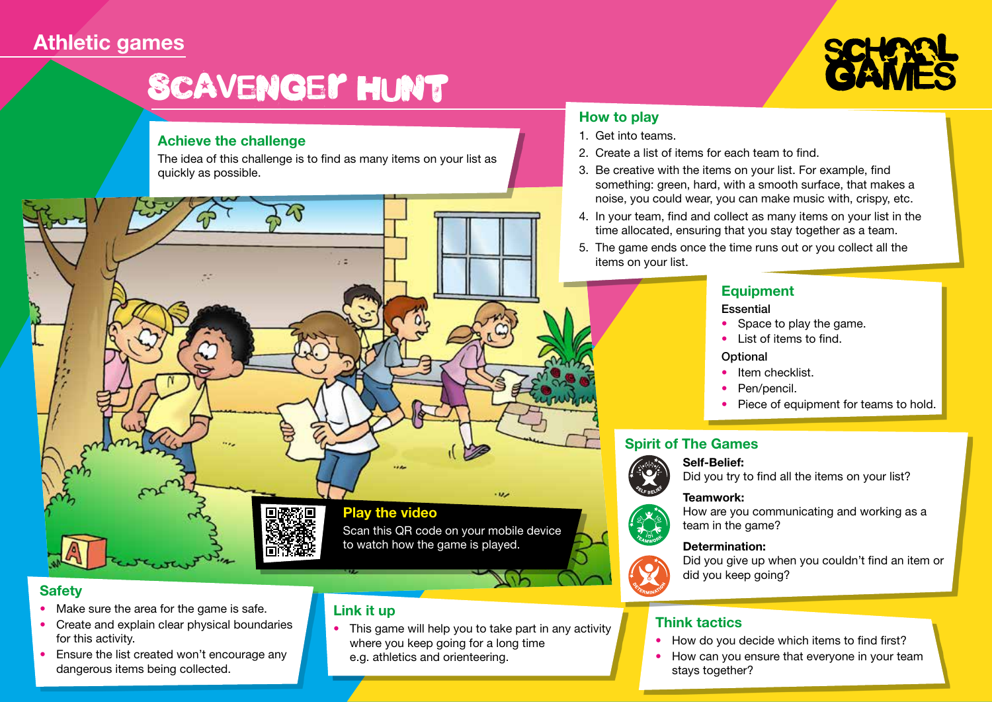## **Athletic games**

# Scavenger Hunt

ZP

#### **Achieve the challenge**

The idea of this challenge is to find as many items on your list as quickly as possible.

22

#### **How to play**

- 1. Get into teams.
- 2. Create a list of items for each team to find.
- 3. Be creative with the items on your list. For example, find something: green, hard, with a smooth surface, that makes a noise, you could wear, you can make music with, crispy, etc.
- 4. In your team, find and collect as many items on your list in the time allocated, ensuring that you stay together as a team.
- 5. The game ends once the time runs out or you collect all the items on your list.

#### **Equipment**

#### **Essential**

- Space to play the game.
- List of items to find.

#### **Optional**

- Item checklist.
- Pen/pencil.
- Piece of equipment for teams to hold.

#### **Spirit of The Games**

#### **Self-Belief:**



Did you try to find all the items on your list?

#### **Teamwork:**



team in the game?  **Determination:**





Did you give up when you couldn't find an item or did you keep going?

#### **Think tactics**

- How do you decide which items to find first?
- How can you ensure that everyone in your team stays together?

### **Safety**

- Make sure the area for the game is safe.
- Create and explain clear physical boundaries for this activity.
- Ensure the list created won't encourage any dangerous items being collected.

#### to watch how the game is played.

**Play the video** 

### **Link it up**

• This game will help you to take part in any activity where you keep going for a long time e.g. athletics and orienteering.

Scan this QR code on your mobile device